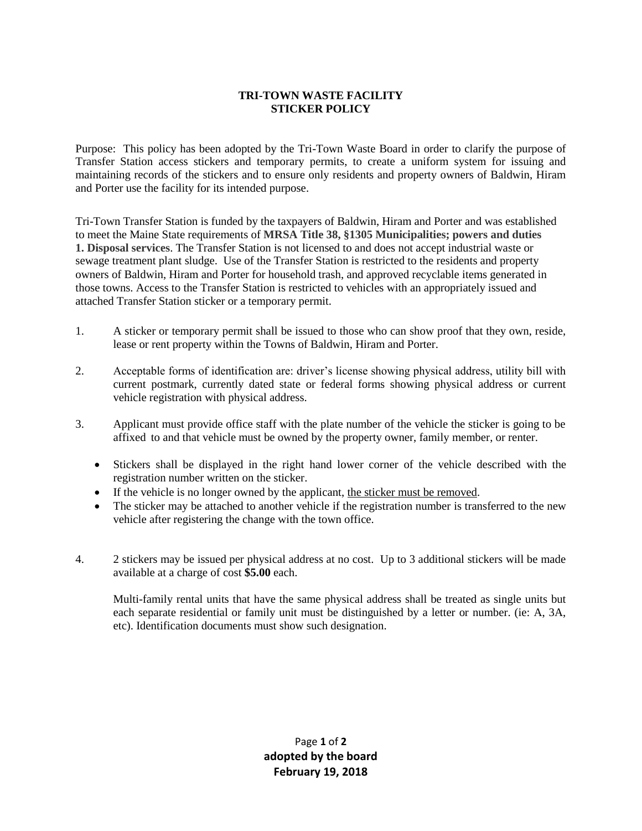## **TRI-TOWN WASTE FACILITY STICKER POLICY**

Purpose: This policy has been adopted by the Tri-Town Waste Board in order to clarify the purpose of Transfer Station access stickers and temporary permits, to create a uniform system for issuing and maintaining records of the stickers and to ensure only residents and property owners of Baldwin, Hiram and Porter use the facility for its intended purpose.

Tri-Town Transfer Station is funded by the taxpayers of Baldwin, Hiram and Porter and was established to meet the Maine State requirements of **MRSA Title 38, §1305 Municipalities; powers and duties 1. Disposal services**. The Transfer Station is not licensed to and does not accept industrial waste or sewage treatment plant sludge. Use of the Transfer Station is restricted to the residents and property owners of Baldwin, Hiram and Porter for household trash, and approved recyclable items generated in those towns. Access to the Transfer Station is restricted to vehicles with an appropriately issued and attached Transfer Station sticker or a temporary permit.

- 1. A sticker or temporary permit shall be issued to those who can show proof that they own, reside, lease or rent property within the Towns of Baldwin, Hiram and Porter.
- 2. Acceptable forms of identification are: driver's license showing physical address, utility bill with current postmark, currently dated state or federal forms showing physical address or current vehicle registration with physical address.
- 3. Applicant must provide office staff with the plate number of the vehicle the sticker is going to be affixed to and that vehicle must be owned by the property owner, family member, or renter.
	- Stickers shall be displayed in the right hand lower corner of the vehicle described with the registration number written on the sticker.
	- If the vehicle is no longer owned by the applicant, the sticker must be removed.
	- The sticker may be attached to another vehicle if the registration number is transferred to the new vehicle after registering the change with the town office.
- 4. 2 stickers may be issued per physical address at no cost. Up to 3 additional stickers will be made available at a charge of cost **\$5.00** each.

Multi-family rental units that have the same physical address shall be treated as single units but each separate residential or family unit must be distinguished by a letter or number. (ie: A, 3A, etc). Identification documents must show such designation.

> Page **1** of **2 adopted by the board February 19, 2018**